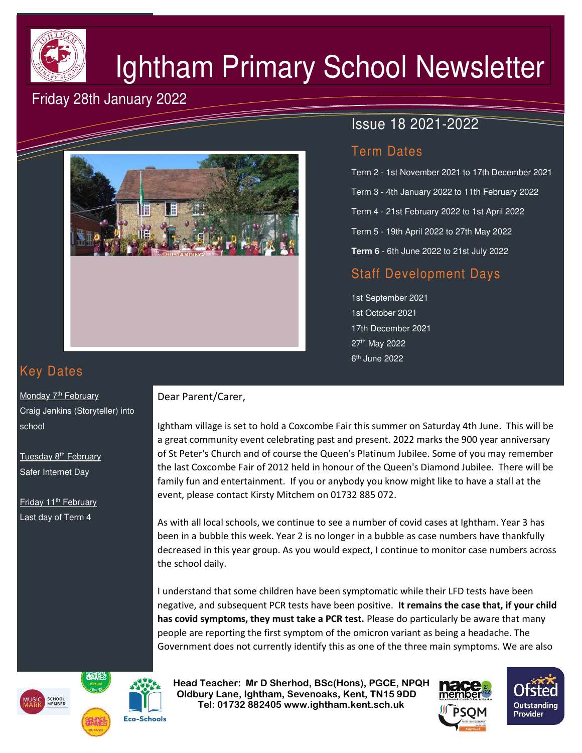

# Ightham Primary School Newsletter

# Friday 28th January 2022



## Issue 18 2021-2022

## Term Dates

Term 2 - 1st November 2021 to 17th December 2021 Term 3 - 4th January 2022 to 11th February 2022 Term 4 - 21st February 2022 to 1st April 2022 Term 5 - 19th April 2022 to 27th May 2022 **Term 6** - 6th June 2022 to 21st July 2022

## Staff Development Days

1st September 2021 1st October 2021 17th December 2021 27th May 2022 6<sup>th</sup> June 2022

# Key Dates

Monday 7<sup>th</sup> February Craig Jenkins (Storyteller) into school

Tuesday 8<sup>th</sup> February Safer Internet Day

Friday 11<sup>th</sup> February Last day of Term 4

#### Dear Parent/Carer,

Ightham village is set to hold a Coxcombe Fair this summer on Saturday 4th June. This will be a great community event celebrating past and present. 2022 marks the 900 year anniversary of St Peter's Church and of course the Queen's Platinum Jubilee. Some of you may remember the last Coxcombe Fair of 2012 held in honour of the Queen's Diamond Jubilee. There will be family fun and entertainment. If you or anybody you know might like to have a stall at the event, please contact Kirsty Mitchem on 01732 885 072.

As with all local schools, we continue to see a number of covid cases at Ightham. Year 3 has been in a bubble this week. Year 2 is no longer in a bubble as case numbers have thankfully decreased in this year group. As you would expect, I continue to monitor case numbers across the school daily.

I understand that some children have been symptomatic while their LFD tests have been negative, and subsequent PCR tests have been positive. **It remains the case that, if your child has covid symptoms, they must take a PCR test.** Please do particularly be aware that many people are reporting the first symptom of the omicron variant as being a headache. The Government does not currently identify this as one of the three main symptoms. We are also





 **Head Teacher: Mr D Sherhod, BSc(Hons), PGCE, NPQH Oldbury Lane, Ightham, Sevenoaks, Kent, TN15 9DD Tel: 01732 882405 www.ightham.kent.sch.uk**<br>Tel: 01732 882405 www.ightham.kent.sch.uk



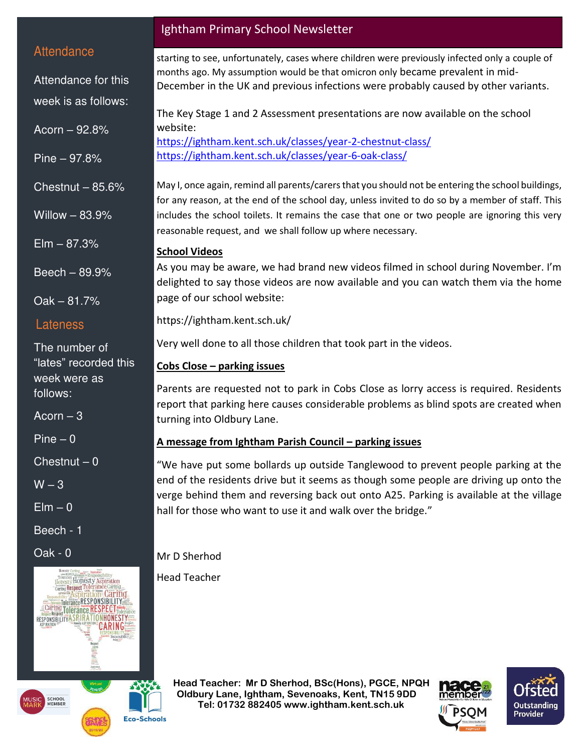#### **Attendance**

Attendance for this week is as follows:

Acorn – 92.8%

Pine – 97.8%

Chestnut  $-85.6%$ 

Willow – 83.9%

 $E$ lm  $-87.3%$ 

Beech – 89.9%

Oak – 81.7%

#### Lateness

The number of "lates" recorded this week were as follows:

Acorn  $-3$ 

 $Pine - 0$ 

 $Chestnut - 0$ 

 $W - 3$ 

 $E$ lm – 0

Beech - 1

Oak - 0



## Ightham Primary School Newsletter

starting to see, unfortunately, cases where children were previously infected only a couple of months ago. My assumption would be that omicron only became prevalent in mid-December in the UK and previous infections were probably caused by other variants.

The Key Stage 1 and 2 Assessment presentations are now available on the school website:

<https://ightham.kent.sch.uk/classes/year-2-chestnut-class/> <https://ightham.kent.sch.uk/classes/year-6-oak-class/>

May I, once again, remind all parents/carers that you should not be entering the school buildings, for any reason, at the end of the school day, unless invited to do so by a member of staff. This includes the school toilets. It remains the case that one or two people are ignoring this very reasonable request, and we shall follow up where necessary.

#### **School Videos**

As you may be aware, we had brand new videos filmed in school during November. I'm delighted to say those videos are now available and you can watch them via the home page of our school website:

<https://ightham.kent.sch.uk/>

Very well done to all those children that took part in the videos.

#### **Cobs Close – parking issues**

Parents are requested not to park in Cobs Close as lorry access is required. Residents report that parking here causes considerable problems as blind spots are created when turning into Oldbury Lane.

#### **A message from Ightham Parish Council – parking issues**

"We have put some bollards up outside Tanglewood to prevent people parking at the end of the residents drive but it seems as though some people are driving up onto the verge behind them and reversing back out onto A25. Parking is available at the village hall for those who want to use it and walk over the bridge."

Mr D Sherhod

Head Teacher

 **Head Teacher: Mr D Sherhod, BSc(Hons), PGCE, NPQH Oldbury Lane, Ightham, Sevenoaks, Kent, TN15 9DD Tel: 01732 882405 www.ightham.kent.sch.uk**